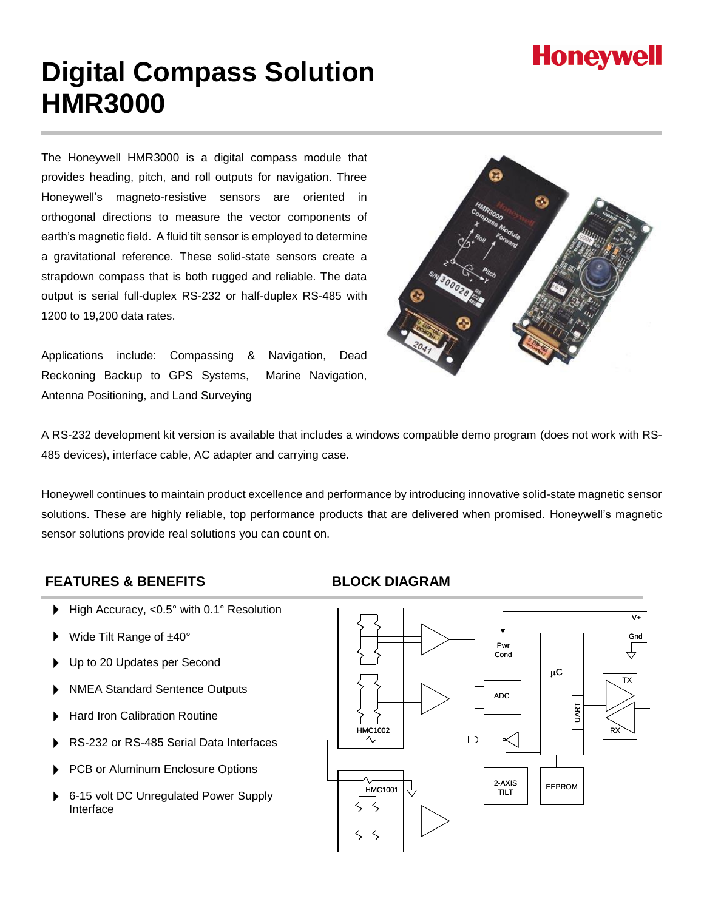# **Honeywell**

# **Digital Compass Solution HMR3000**

The Honeywell HMR3000 is a digital compass module that provides heading, pitch, and roll outputs for navigation. Three Honeywell's magneto-resistive sensors are oriented in orthogonal directions to measure the vector components of earth's magnetic field. A fluid tilt sensor is employed to determine a gravitational reference. These solid-state sensors create a strapdown compass that is both rugged and reliable. The data output is serial full-duplex RS-232 or half-duplex RS-485 with 1200 to 19,200 data rates.

Applications include: Compassing & Navigation, Dead Reckoning Backup to GPS Systems, Marine Navigation, Antenna Positioning, and Land Surveying



A RS-232 development kit version is available that includes a windows compatible demo program (does not work with RS-485 devices), interface cable, AC adapter and carrying case.

Honeywell continues to maintain product excellence and performance by introducing innovative solid-state magnetic sensor solutions. These are highly reliable, top performance products that are delivered when promised. Honeywell's magnetic sensor solutions provide real solutions you can count on.

#### **FEATURES & BENEFITS BLOCK DIAGRAM**

- ▶ High Accuracy, <0.5° with 0.1° Resolution
- Wide Tilt Range of  $\pm 40^{\circ}$
- Up to 20 Updates per Second
- NMEA Standard Sentence Outputs
- Hard Iron Calibration Routine
- RS-232 or RS-485 Serial Data Interfaces
- PCB or Aluminum Enclosure Options
- 6-15 volt DC Unregulated Power Supply Interface

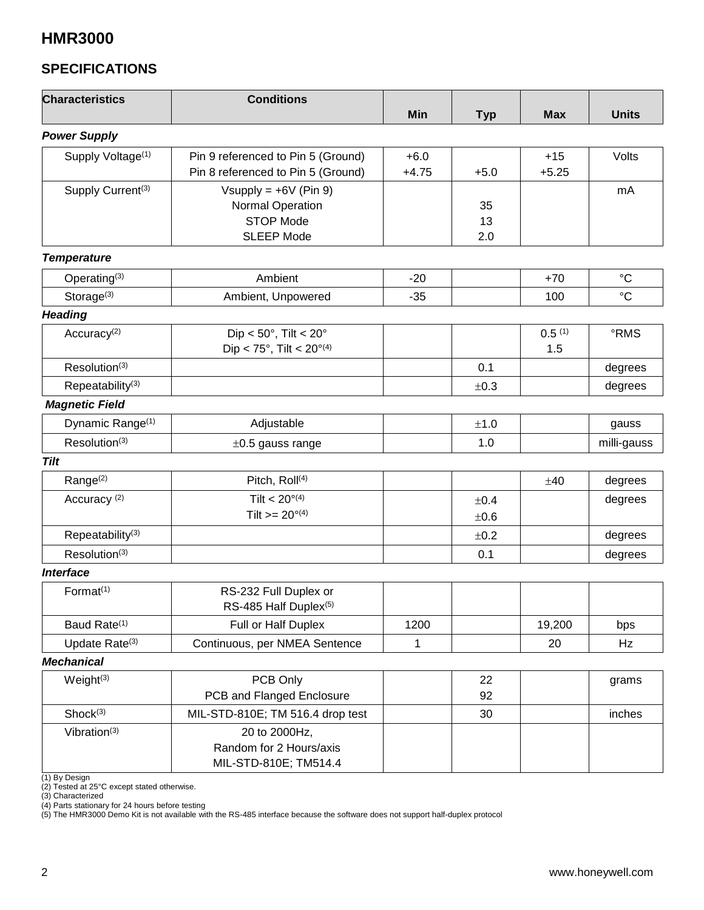## **SPECIFICATIONS**

| <b>Characteristics</b>           | <b>Conditions</b>                                                                    | Min               | <b>Typ</b>        | <b>Max</b>       | <b>Units</b>    |
|----------------------------------|--------------------------------------------------------------------------------------|-------------------|-------------------|------------------|-----------------|
| <b>Power Supply</b>              |                                                                                      |                   |                   |                  |                 |
| Supply Voltage <sup>(1)</sup>    | Pin 9 referenced to Pin 5 (Ground)<br>Pin 8 referenced to Pin 5 (Ground)             | $+6.0$<br>$+4.75$ | $+5.0$            | $+15$<br>$+5.25$ | Volts           |
| Supply Current <sup>(3)</sup>    | Vsupply = $+6V$ (Pin 9)<br>Normal Operation<br><b>STOP Mode</b><br><b>SLEEP Mode</b> |                   | 35<br>13<br>2.0   |                  | mA              |
| <b>Temperature</b>               |                                                                                      |                   |                   |                  |                 |
| Operating <sup>(3)</sup>         | Ambient<br>$-20$                                                                     |                   |                   | $+70$            | $\rm ^{\circ}C$ |
| Storage $(3)$                    | Ambient, Unpowered                                                                   | $-35$             |                   | 100              | $\rm ^{\circ}C$ |
| <b>Heading</b>                   |                                                                                      |                   |                   |                  |                 |
| Accuracy <sup>(2)</sup>          | Dip < $50^\circ$ , Tilt < $20^\circ$<br>Dip < 75°, Tilt < $20^{\circ(4)}$            |                   |                   | 0.5(1)<br>1.5    | °RMS            |
| Resolution(3)                    |                                                                                      |                   | 0.1               |                  | degrees         |
| Repeatability <sup>(3)</sup>     |                                                                                      |                   | ±0.3              |                  | degrees         |
| <b>Magnetic Field</b>            |                                                                                      |                   |                   |                  |                 |
| Dynamic Range <sup>(1)</sup>     | Adjustable                                                                           |                   | ±1.0              |                  | gauss           |
| Resolution <sup>(3)</sup>        | $\pm 0.5$ gauss range                                                                |                   | 1.0               |                  | milli-gauss     |
| <b>Tilt</b>                      |                                                                                      |                   |                   |                  |                 |
| Range <sup>(2)</sup>             | Pitch, Roll <sup>(4)</sup>                                                           |                   |                   | ±40              | degrees         |
| Accuracy <sup>(2)</sup>          | Tilt < $20^{\circ(4)}$<br>Tilt $>= 20^{\circ(4)}$                                    |                   | ±0.4<br>$\pm 0.6$ |                  | degrees         |
| Repeatability <sup>(3)</sup>     |                                                                                      |                   | ±0.2              |                  | degrees         |
| Resolution <sup>(3)</sup>        |                                                                                      |                   | 0.1               |                  | degrees         |
| <b>Interface</b>                 |                                                                                      |                   |                   |                  |                 |
| Format <sup>(1)</sup>            | RS-232 Full Duplex or<br>RS-485 Half Duplex <sup>(5)</sup>                           |                   |                   |                  |                 |
| Baud Rate <sup>(1)</sup>         | Full or Half Duplex                                                                  | 1200              |                   | 19,200           | bps             |
| Update Rate <sup>(3)</sup>       | Continuous, per NMEA Sentence                                                        | $\mathbf{1}$      |                   | 20               | Hz              |
| <b>Mechanical</b>                |                                                                                      |                   |                   |                  |                 |
| Weight <sup>(3)</sup>            | PCB Only<br>PCB and Flanged Enclosure                                                |                   | 22<br>92          |                  | grams           |
| Shock <sup>(3)</sup>             | MIL-STD-810E; TM 516.4 drop test                                                     |                   | 30                |                  | inches          |
| Vibration $(3)$<br>(1) By Design | 20 to 2000Hz,<br>Random for 2 Hours/axis<br>MIL-STD-810E; TM514.4                    |                   |                   |                  |                 |

(2) Tested at 25°C except stated otherwise.

(3) Characterized

(4) Parts stationary for 24 hours before testing

(5) The HMR3000 Demo Kit is not available with the RS-485 interface because the software does not support half-duplex protocol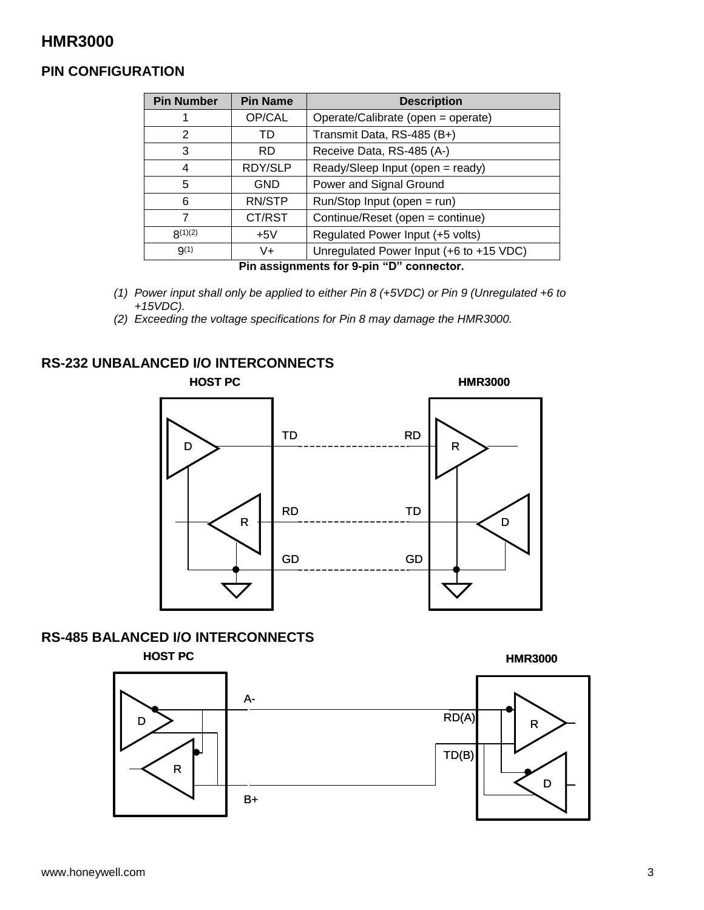#### **PIN CONFIGURATION**

| <b>Pin Number</b> | <b>Pin Name</b> | <b>Description</b>                      |
|-------------------|-----------------|-----------------------------------------|
|                   | OP/CAL          | Operate/Calibrate (open = operate)      |
| 2                 | TD              | Transmit Data, RS-485 (B+)              |
| 3                 | <b>RD</b>       | Receive Data, RS-485 (A-)               |
| 4                 | RDY/SLP         | Ready/Sleep Input (open = ready)        |
| 5                 | <b>GND</b>      | Power and Signal Ground                 |
| 6                 | RN/STP          | Run/Stop Input (open = run)             |
| 7                 | CT/RST          | Continue/Reset (open = continue)        |
| R(1)(2)           | $+5V$           | Regulated Power Input (+5 volts)        |
| $9^{(1)}$         | V+              | Unregulated Power Input (+6 to +15 VDC) |

**Pin assignments for 9-pin "D" connector.**

- *(1) Power input shall only be applied to either Pin 8 (+5VDC) or Pin 9 (Unregulated +6 to +15VDC).*
- *(2) Exceeding the voltage specifications for Pin 8 may damage the HMR3000.*

#### **RS-232 UNBALANCED I/O INTERCONNECTS**



#### **RS-485 BALANCED I/O INTERCONNECTS**

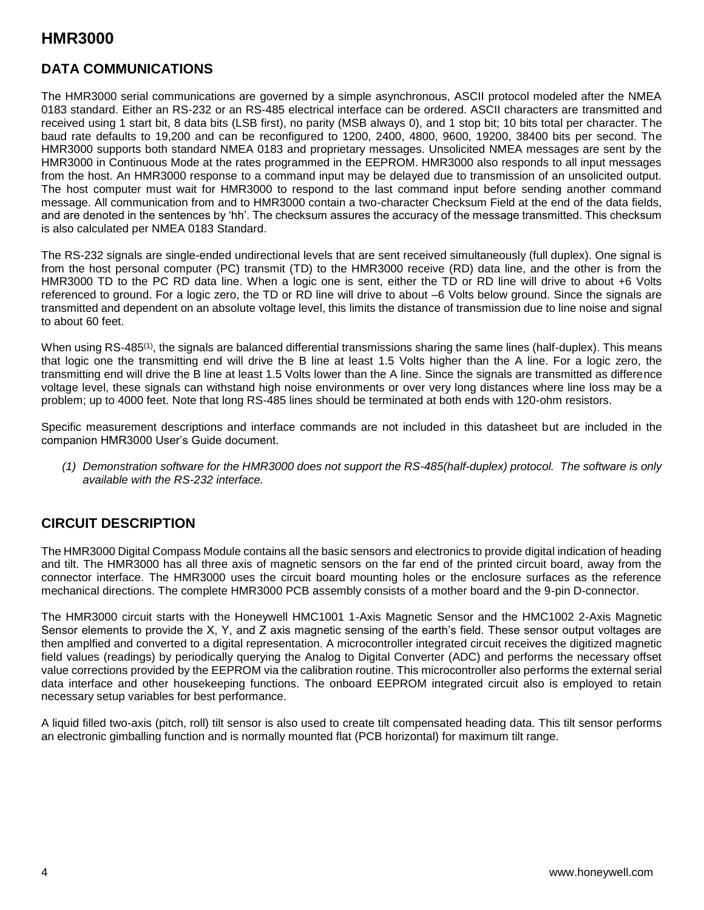#### **DATA COMMUNICATIONS**

The HMR3000 serial communications are governed by a simple asynchronous, ASCII protocol modeled after the NMEA 0183 standard. Either an RS-232 or an RS-485 electrical interface can be ordered. ASCII characters are transmitted and received using 1 start bit, 8 data bits (LSB first), no parity (MSB always 0), and 1 stop bit; 10 bits total per character. The baud rate defaults to 19,200 and can be reconfigured to 1200, 2400, 4800, 9600, 19200, 38400 bits per second. The HMR3000 supports both standard NMEA 0183 and proprietary messages. Unsolicited NMEA messages are sent by the HMR3000 in Continuous Mode at the rates programmed in the EEPROM. HMR3000 also responds to all input messages from the host. An HMR3000 response to a command input may be delayed due to transmission of an unsolicited output. The host computer must wait for HMR3000 to respond to the last command input before sending another command message. All communication from and to HMR3000 contain a two-character Checksum Field at the end of the data fields, and are denoted in the sentences by 'hh'. The checksum assures the accuracy of the message transmitted. This checksum is also calculated per NMEA 0183 Standard.

The RS-232 signals are single-ended undirectional levels that are sent received simultaneously (full duplex). One signal is from the host personal computer (PC) transmit (TD) to the HMR3000 receive (RD) data line, and the other is from the HMR3000 TD to the PC RD data line. When a logic one is sent, either the TD or RD line will drive to about +6 Volts referenced to ground. For a logic zero, the TD or RD line will drive to about –6 Volts below ground. Since the signals are transmitted and dependent on an absolute voltage level, this limits the distance of transmission due to line noise and signal to about 60 feet.

When using RS-485<sup>(1)</sup>, the signals are balanced differential transmissions sharing the same lines (half-duplex). This means that logic one the transmitting end will drive the B line at least 1.5 Volts higher than the A line. For a logic zero, the transmitting end will drive the B line at least 1.5 Volts lower than the A line. Since the signals are transmitted as difference voltage level, these signals can withstand high noise environments or over very long distances where line loss may be a problem; up to 4000 feet. Note that long RS-485 lines should be terminated at both ends with 120-ohm resistors.

Specific measurement descriptions and interface commands are not included in this datasheet but are included in the companion HMR3000 User's Guide document.

*(1) Demonstration software for the HMR3000 does not support the RS-485(half-duplex) protocol. The software is only available with the RS-232 interface.*

#### **CIRCUIT DESCRIPTION**

The HMR3000 Digital Compass Module contains all the basic sensors and electronics to provide digital indication of heading and tilt. The HMR3000 has all three axis of magnetic sensors on the far end of the printed circuit board, away from the connector interface. The HMR3000 uses the circuit board mounting holes or the enclosure surfaces as the reference mechanical directions. The complete HMR3000 PCB assembly consists of a mother board and the 9-pin D-connector.

The HMR3000 circuit starts with the Honeywell HMC1001 1-Axis Magnetic Sensor and the HMC1002 2-Axis Magnetic Sensor elements to provide the X, Y, and Z axis magnetic sensing of the earth's field. These sensor output voltages are then amplfied and converted to a digital representation. A microcontroller integrated circuit receives the digitized magnetic field values (readings) by periodically querying the Analog to Digital Converter (ADC) and performs the necessary offset value corrections provided by the EEPROM via the calibration routine. This microcontroller also performs the external serial data interface and other housekeeping functions. The onboard EEPROM integrated circuit also is employed to retain necessary setup variables for best performance.

A liquid filled two-axis (pitch, roll) tilt sensor is also used to create tilt compensated heading data. This tilt sensor performs an electronic gimballing function and is normally mounted flat (PCB horizontal) for maximum tilt range.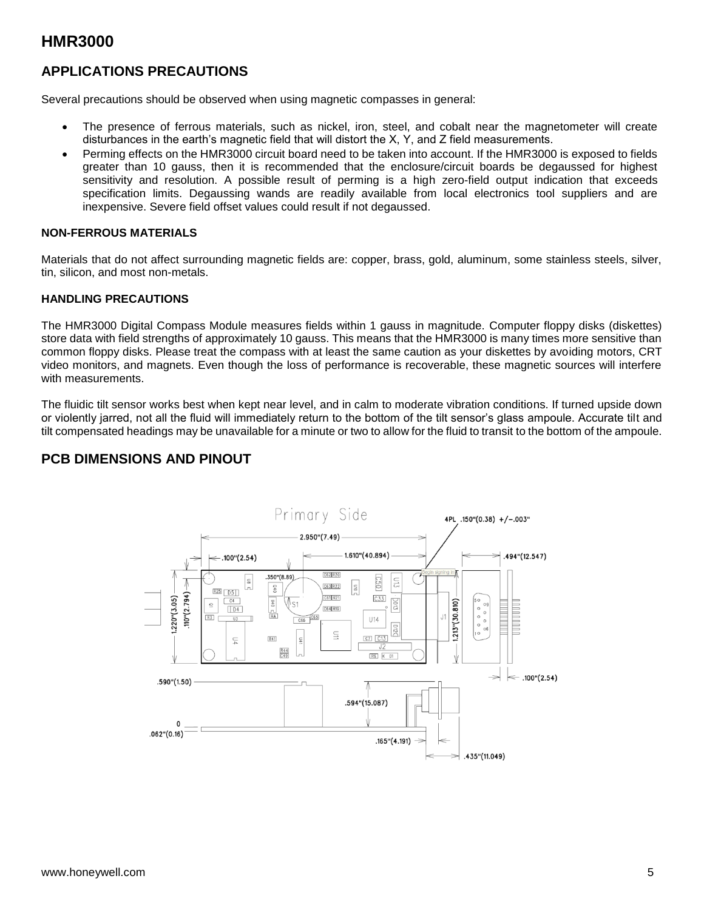#### **APPLICATIONS PRECAUTIONS**

Several precautions should be observed when using magnetic compasses in general:

- The presence of ferrous materials, such as nickel, iron, steel, and cobalt near the magnetometer will create disturbances in the earth's magnetic field that will distort the X, Y, and Z field measurements.
- Perming effects on the HMR3000 circuit board need to be taken into account. If the HMR3000 is exposed to fields greater than 10 gauss, then it is recommended that the enclosure/circuit boards be degaussed for highest sensitivity and resolution. A possible result of perming is a high zero-field output indication that exceeds specification limits. Degaussing wands are readily available from local electronics tool suppliers and are inexpensive. Severe field offset values could result if not degaussed.

#### **NON-FERROUS MATERIALS**

Materials that do not affect surrounding magnetic fields are: copper, brass, gold, aluminum, some stainless steels, silver, tin, silicon, and most non-metals.

#### **HANDLING PRECAUTIONS**

The HMR3000 Digital Compass Module measures fields within 1 gauss in magnitude. Computer floppy disks (diskettes) store data with field strengths of approximately 10 gauss. This means that the HMR3000 is many times more sensitive than common floppy disks. Please treat the compass with at least the same caution as your diskettes by avoiding motors, CRT video monitors, and magnets. Even though the loss of performance is recoverable, these magnetic sources will interfere with measurements.

The fluidic tilt sensor works best when kept near level, and in calm to moderate vibration conditions. If turned upside down or violently jarred, not all the fluid will immediately return to the bottom of the tilt sensor's glass ampoule. Accurate tilt and tilt compensated headings may be unavailable for a minute or two to allow for the fluid to transit to the bottom of the ampoule.

#### **PCB DIMENSIONS AND PINOUT**

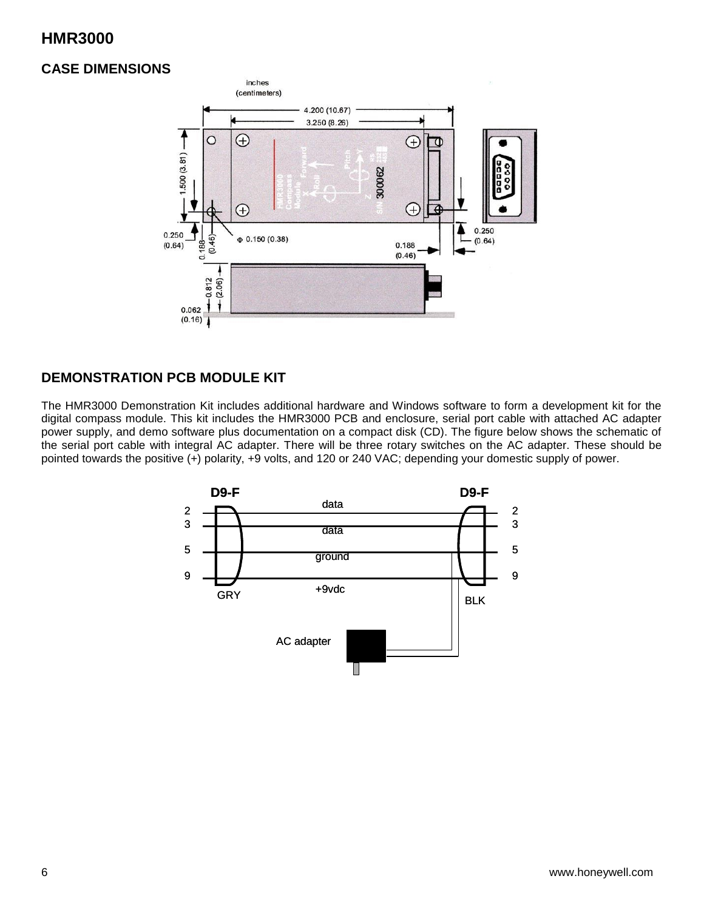#### **CASE DIMENSIONS**



#### **DEMONSTRATION PCB MODULE KIT**

The HMR3000 Demonstration Kit includes additional hardware and Windows software to form a development kit for the digital compass module. This kit includes the HMR3000 PCB and enclosure, serial port cable with attached AC adapter power supply, and demo software plus documentation on a compact disk (CD). The figure below shows the schematic of the serial port cable with integral AC adapter. There will be three rotary switches on the AC adapter. These should be pointed towards the positive (+) polarity, +9 volts, and 120 or 240 VAC; depending your domestic supply of power.